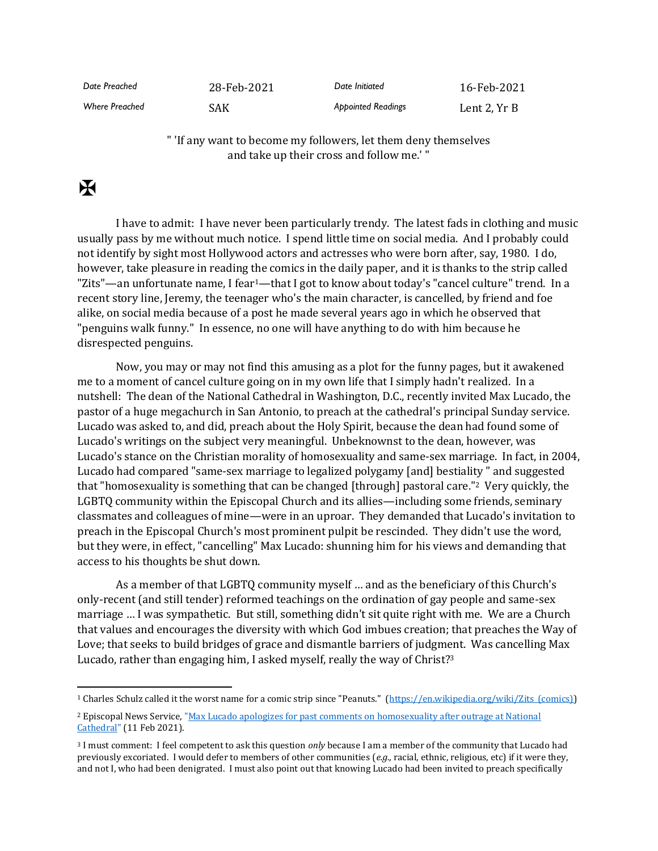| Date Preached         | 28-Feb-2021 | Date Initiated            | 16-Feb-2021  |
|-----------------------|-------------|---------------------------|--------------|
| <b>Where Preached</b> | SAK         | <b>Appointed Readings</b> | Lent 2. Yr B |

" 'If any want to become my followers, let them deny themselves and take up their cross and follow me.' "

## $\mathbf F$

I have to admit: I have never been particularly trendy. The latest fads in clothing and music usually pass by me without much notice. I spend little time on social media. And I probably could not identify by sight most Hollywood actors and actresses who were born after, say, 1980. I do, however, take pleasure in reading the comics in the daily paper, and it is thanks to the strip called "Zits"-an unfortunate name, I fear<sup>1</sup>-that I got to know about today's "cancel culture" trend. In a recent story line, Jeremy, the teenager who's the main character, is cancelled, by friend and foe alike, on social media because of a post he made several years ago in which he observed that "penguins walk funny." In essence, no one will have anything to do with him because he disrespected penguins.

Now, you may or may not find this amusing as a plot for the funny pages, but it awakened me to a moment of cancel culture going on in my own life that I simply hadn't realized. In a nutshell: The dean of the National Cathedral in Washington, D.C., recently invited Max Lucado, the pastor of a huge megachurch in San Antonio, to preach at the cathedral's principal Sunday service. Lucado was asked to, and did, preach about the Holy Spirit, because the dean had found some of Lucado's writings on the subject very meaningful. Unbeknownst to the dean, however, was Lucado's stance on the Christian morality of homosexuality and same-sex marriage. In fact, in 2004, Lucado had compared "same-sex marriage to legalized polygamy [and] bestiality " and suggested that "homosexuality is something that can be changed [through] pastoral care."2 Very quickly, the LGBTQ community within the Episcopal Church and its allies—including some friends, seminary classmates and colleagues of mine—were in an uproar. They demanded that Lucado's invitation to preach in the Episcopal Church's most prominent pulpit be rescinded. They didn't use the word, but they were, in effect, "cancelling" Max Lucado: shunning him for his views and demanding that access to his thoughts be shut down.

As a member of that LGBTQ community myself … and as the beneficiary of this Church's only-recent (and still tender) reformed teachings on the ordination of gay people and same-sex marriage … I was sympathetic. But still, something didn't sit quite right with me. We are a Church that values and encourages the diversity with which God imbues creation; that preaches the Way of Love; that seeks to build bridges of grace and dismantle barriers of judgment. Was cancelling Max Lucado, rather than engaging him, I asked myself, really the way of Christ?<sup>3</sup>

<sup>1</sup> Charles Schulz called it the worst name for a comic strip since "Peanuts." [\(https://en.wikipedia.org/wiki/Zits\\_\(comics\)\)](https://en.wikipedia.org/wiki/Zits_(comics))

<sup>2</sup> Episcopal News Service[, "Max Lucado apologizes for past comments on homosexuality after outrage at National](https://www.episcopalnewsservice.org/2021/02/11/max-lucado-apologizes-for-past-comments-on-homosexuality-after-outrage-at-national-cathedral-invitation/)  [Cathedral"](https://www.episcopalnewsservice.org/2021/02/11/max-lucado-apologizes-for-past-comments-on-homosexuality-after-outrage-at-national-cathedral-invitation/) (11 Feb 2021).

<sup>3</sup> I must comment: I feel competent to ask this question *only* because I am a member of the community that Lucado had previously excoriated. I would defer to members of other communities (*e.g.,* racial, ethnic, religious, etc) if it were they, and not I, who had been denigrated. I must also point out that knowing Lucado had been invited to preach specifically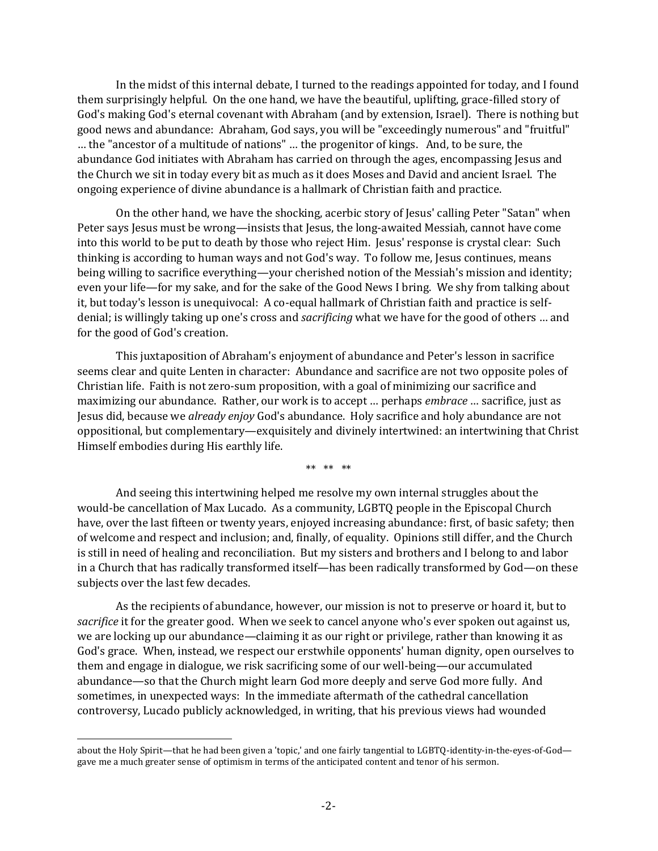In the midst of this internal debate, I turned to the readings appointed for today, and I found them surprisingly helpful. On the one hand, we have the beautiful, uplifting, grace-filled story of God's making God's eternal covenant with Abraham (and by extension, Israel). There is nothing but good news and abundance: Abraham, God says, you will be "exceedingly numerous" and "fruitful" … the "ancestor of a multitude of nations" … the progenitor of kings. And, to be sure, the abundance God initiates with Abraham has carried on through the ages, encompassing Jesus and the Church we sit in today every bit as much as it does Moses and David and ancient Israel. The ongoing experience of divine abundance is a hallmark of Christian faith and practice.

On the other hand, we have the shocking, acerbic story of Jesus' calling Peter "Satan" when Peter says Jesus must be wrong—insists that Jesus, the long-awaited Messiah, cannot have come into this world to be put to death by those who reject Him. Jesus' response is crystal clear: Such thinking is according to human ways and not God's way. To follow me, Jesus continues, means being willing to sacrifice everything—your cherished notion of the Messiah's mission and identity; even your life—for my sake, and for the sake of the Good News I bring. We shy from talking about it, but today's lesson is unequivocal: A co-equal hallmark of Christian faith and practice is selfdenial; is willingly taking up one's cross and *sacrificing* what we have for the good of others … and for the good of God's creation.

This juxtaposition of Abraham's enjoyment of abundance and Peter's lesson in sacrifice seems clear and quite Lenten in character: Abundance and sacrifice are not two opposite poles of Christian life. Faith is not zero-sum proposition, with a goal of minimizing our sacrifice and maximizing our abundance. Rather, our work is to accept … perhaps *embrace* … sacrifice, just as Jesus did, because we *already enjoy* God's abundance. Holy sacrifice and holy abundance are not oppositional, but complementary—exquisitely and divinely intertwined: an intertwining that Christ Himself embodies during His earthly life.

\*\* \*\* \*\*

And seeing this intertwining helped me resolve my own internal struggles about the would-be cancellation of Max Lucado. As a community, LGBTQ people in the Episcopal Church have, over the last fifteen or twenty years, enjoyed increasing abundance: first, of basic safety; then of welcome and respect and inclusion; and, finally, of equality. Opinions still differ, and the Church is still in need of healing and reconciliation. But my sisters and brothers and I belong to and labor in a Church that has radically transformed itself—has been radically transformed by God—on these subjects over the last few decades.

As the recipients of abundance, however, our mission is not to preserve or hoard it, but to *sacrifice* it for the greater good. When we seek to cancel anyone who's ever spoken out against us, we are locking up our abundance—claiming it as our right or privilege, rather than knowing it as God's grace. When, instead, we respect our erstwhile opponents' human dignity, open ourselves to them and engage in dialogue, we risk sacrificing some of our well-being—our accumulated abundance—so that the Church might learn God more deeply and serve God more fully. And sometimes, in unexpected ways: In the immediate aftermath of the cathedral cancellation controversy, Lucado publicly acknowledged, in writing, that his previous views had wounded

about the Holy Spirit—that he had been given a 'topic,' and one fairly tangential to LGBTQ-identity-in-the-eyes-of-God gave me a much greater sense of optimism in terms of the anticipated content and tenor of his sermon.